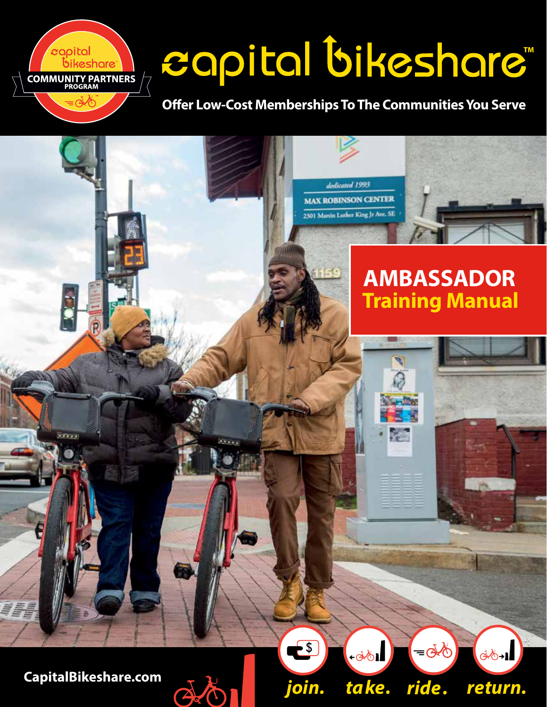# capital bikeshare"

## **Offer Low-Cost Memberships To The Communities You Serve**



 $\boldsymbol{c}$ apital

.<br>bikeshare **COMMUNITY PARTNERS**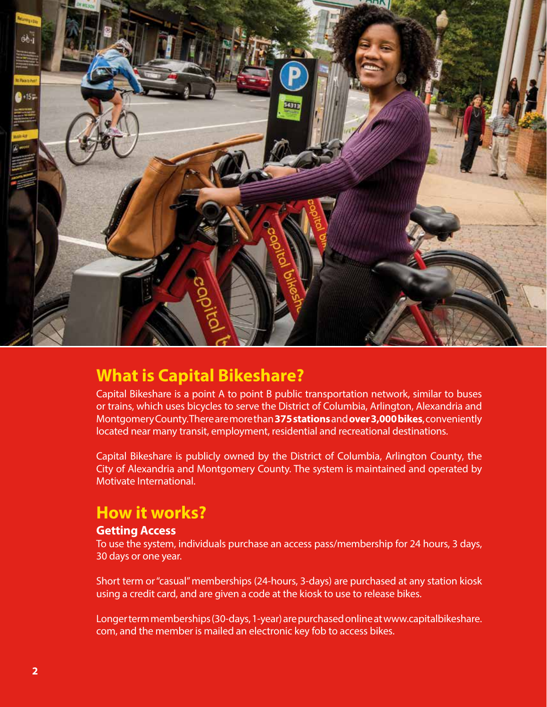

## **What is Capital Bikeshare?**

Capital Bikeshare is a point A to point B public transportation network, similar to buses or trains, which uses bicycles to serve the District of Columbia, Arlington, Alexandria and Montgomery County. There are more than **375 stations** and **over 3,000 bikes**, conveniently located near many transit, employment, residential and recreational destinations.

Capital Bikeshare is publicly owned by the District of Columbia, Arlington County, the City of Alexandria and Montgomery County. The system is maintained and operated by Motivate International.

## **How it works?**

#### **Getting Access**

To use the system, individuals purchase an access pass/membership for 24 hours, 3 days, 30 days or one year.

Short term or "casual" memberships (24-hours, 3-days) are purchased at any station kiosk using a credit card, and are given a code at the kiosk to use to release bikes.

Longer term memberships (30-days, 1-year) are purchased online at www.capitalbikeshare. com, and the member is mailed an electronic key fob to access bikes.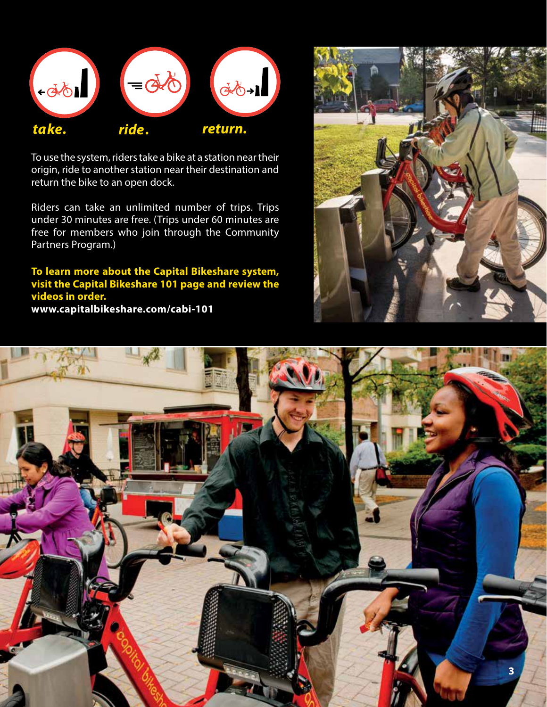

To use the system, riders take a bike at a station near their origin, ride to another station near their destination and return the bike to an open dock.

Riders can take an unlimited number of trips. Trips under 30 minutes are free. (Trips under 60 minutes are free for members who join through the Community Partners Program.)

**To learn more about the Capital Bikeshare system, visit the Capital Bikeshare 101 page and review the videos in order. www.capitalbikeshare.com/cabi-101**



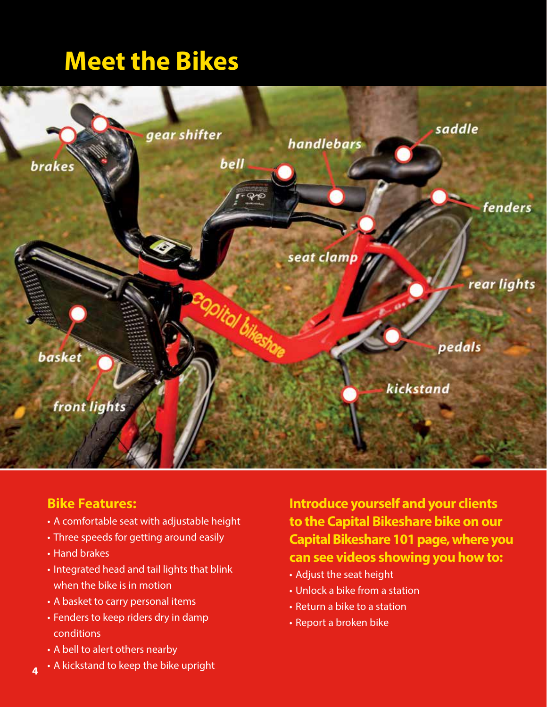## **Meet the Bikes**



#### **Bike Features:**

- A comfortable seat with adjustable height
- Three speeds for getting around easily
- Hand brakes
- Integrated head and tail lights that blink when the bike is in motion
- A basket to carry personal items
- Fenders to keep riders dry in damp conditions
- A bell to alert others nearby
- A kickstand to keep the bike upright **4**

**Introduce yourself and your clients to the Capital Bikeshare bike on our Capital Bikeshare 101 page, where you can see videos showing you how to:**

- Adjust the seat height
- Unlock a bike from a station
- Return a bike to a station
- Report a broken bike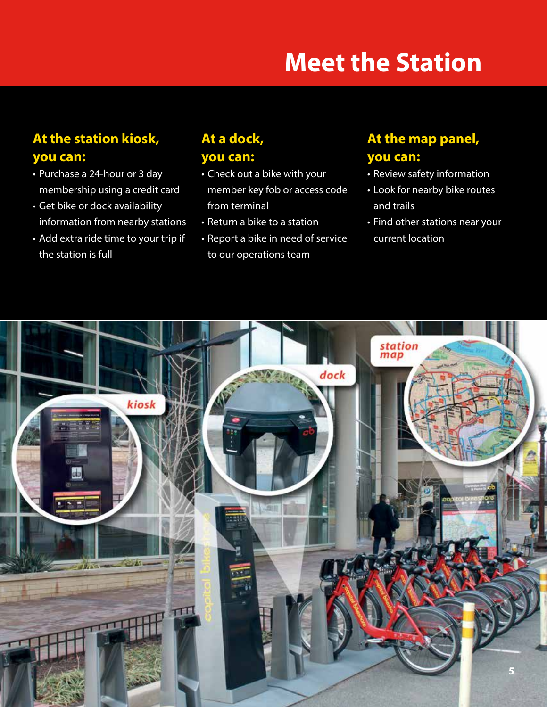# **Meet the Station**

## **At the station kiosk, you can:**

- Purchase a 24-hour or 3 day membership using a credit card
- Get bike or dock availability information from nearby stations
- Add extra ride time to your trip if the station is full

### **At a dock, you can:**

- Check out a bike with your member key fob or access code from terminal
- Return a bike to a station
- Report a bike in need of service to our operations team

#### **At the map panel, you can:**

- Review safety information
- Look for nearby bike routes and trails
- Find other stations near your current location

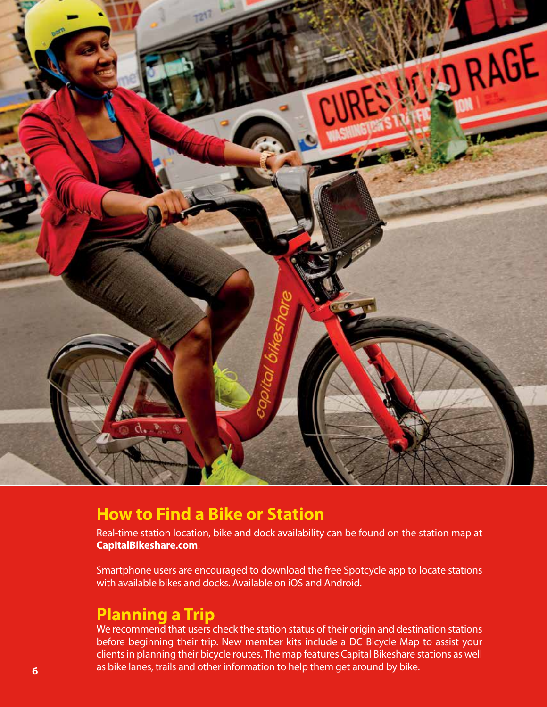

## **How to Find a Bike or Station**

Real-time station location, bike and dock availability can be found on the station map at **CapitalBikeshare.com**.

Smartphone users are encouraged to download the free Spotcycle app to locate stations with available bikes and docks. Available on iOS and Android.

## **Planning a Trip**

We recommend that users check the station status of their origin and destination stations before beginning their trip. New member kits include a DC Bicycle Map to assist your clients in planning their bicycle routes. The map features Capital Bikeshare stations as well as bike lanes, trails and other information to help them get around by bike. **6**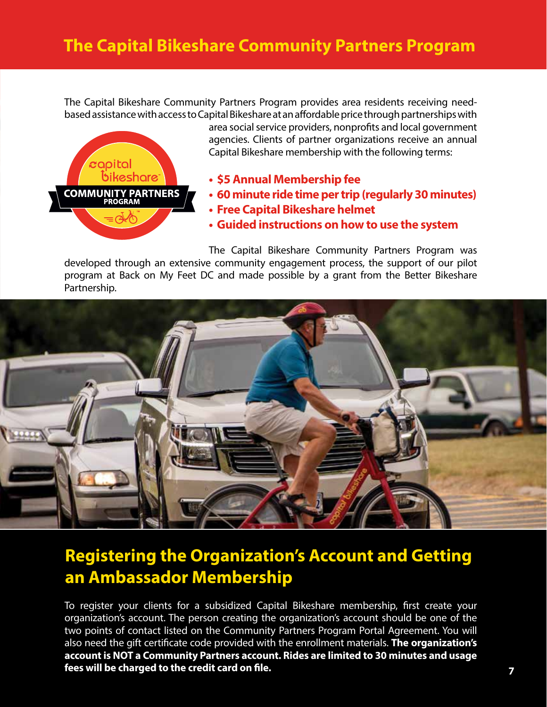The Capital Bikeshare Community Partners Program provides area residents receiving needbased assistance with access to Capital Bikeshare at an affordable price through partnerships with



area social service providers, nonprofits and local government agencies. Clients of partner organizations receive an annual Capital Bikeshare membership with the following terms:

- **• \$5 Annual Membership fee**
- **• 60 minute ride time per trip (regularly 30 minutes)**
- **• Free Capital Bikeshare helmet**
- **• Guided instructions on how to use the system**

The Capital Bikeshare Community Partners Program was developed through an extensive community engagement process, the support of our pilot program at Back on My Feet DC and made possible by a grant from the Better Bikeshare Partnership.



## **Registering the Organization's Account and Getting an Ambassador Membership**

To register your clients for a subsidized Capital Bikeshare membership, first create your organization's account. The person creating the organization's account should be one of the two points of contact listed on the Community Partners Program Portal Agreement. You will also need the gift certificate code provided with the enrollment materials. **The organization's account is NOT a Community Partners account. Rides are limited to 30 minutes and usage fees will be charged to the credit card on file.**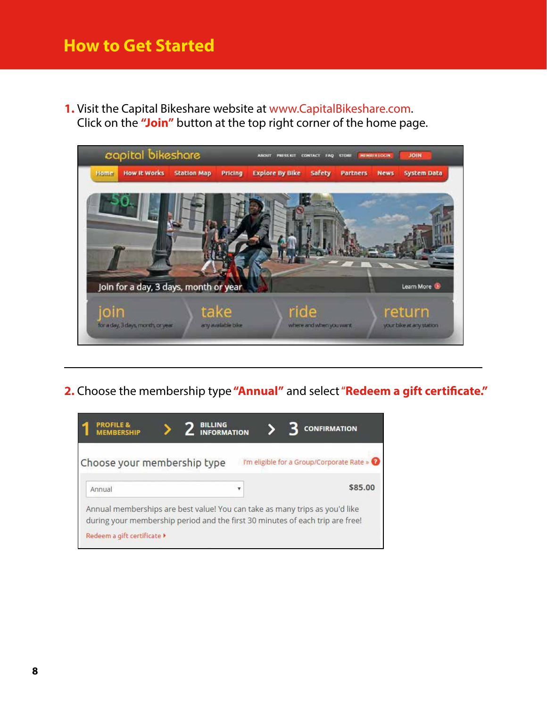## **How to Get Started**

**1.** Visit the Capital Bikeshare website at www.CapitalBikeshare.com. Click on the **"Join"** button at the top right corner of the home page.



**2.** Choose the membership type **"Annual"** and select "**Redeem a gift certificate."**

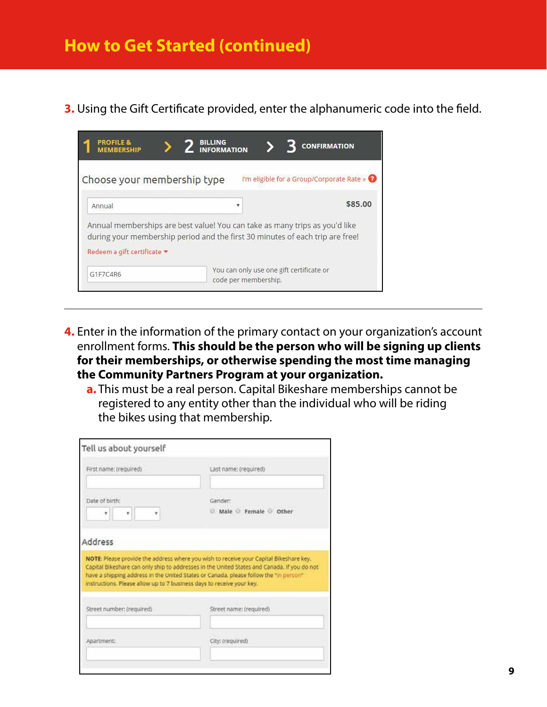**3.** Using the Gift Certificate provided, enter the alphanumeric code into the field.

| <b>PROFILE &amp;</b><br><b>MEMBERSHIP</b> | <b>BILLING</b><br><b>INFORMATION</b>                                                                                                                         | <b>CONFIRMATION</b>                         |
|-------------------------------------------|--------------------------------------------------------------------------------------------------------------------------------------------------------------|---------------------------------------------|
| Choose your membership type               |                                                                                                                                                              | I'm eligible for a Group/Corporate Rate » @ |
| Annual                                    | ▼                                                                                                                                                            | \$85.00                                     |
| Redeem a gift certificate *               | Annual memberships are best value! You can take as many trips as you'd like<br>during your membership period and the first 30 minutes of each trip are free! |                                             |
| G1F7C4R6                                  | code per membership.                                                                                                                                         | You can only use one gift certificate or    |

- **4.** Enter in the information of the primary contact on your organization's account enrollment forms. **This should be the person who will be signing up clients for their memberships, or otherwise spending the most time managing the Community Partners Program at your organization.**
	- **a.** This must be a real person. Capital Bikeshare memberships cannot be registered to any entity other than the individual who will be riding the bikes using that membership.

| Tell us about yourself                                                |                                                                                                                                                                                                                                                                                |
|-----------------------------------------------------------------------|--------------------------------------------------------------------------------------------------------------------------------------------------------------------------------------------------------------------------------------------------------------------------------|
| First name: (required)                                                | Last name: (required)                                                                                                                                                                                                                                                          |
| Date of birth:<br>٠<br>٠<br>٠                                         | Gender:<br>Male Female Other                                                                                                                                                                                                                                                   |
| Address                                                               |                                                                                                                                                                                                                                                                                |
| instructions. Please allow up to 7 business days to receive your key. | NOTE: Please provide the address where you wish to receive your Capital Bikeshare key.<br>Capital Bikeshare can only ship to addresses in the United States and Canada. If you do not<br>have a shipping address in the United States or Canada, please follow the "in person" |
| Street number: (required)                                             | Street name: (required)                                                                                                                                                                                                                                                        |
| Apartment:                                                            | City: (required)                                                                                                                                                                                                                                                               |
|                                                                       |                                                                                                                                                                                                                                                                                |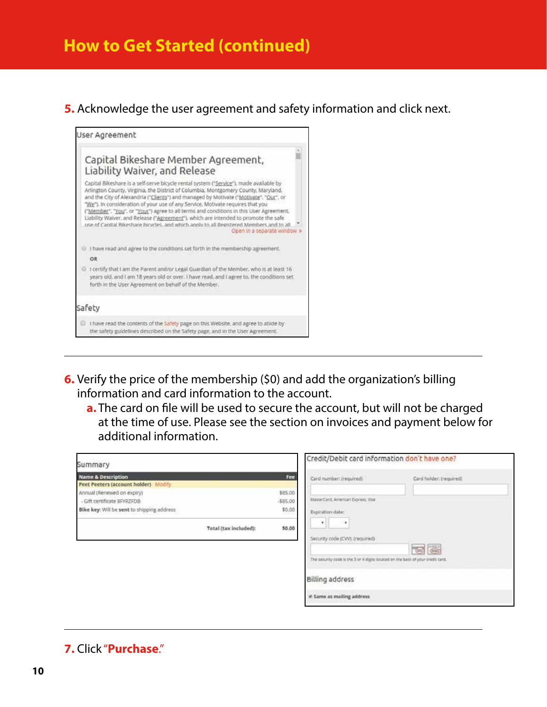## **How to Get Started (continued)**

#### **5.** Acknowledge the user agreement and safety information and click next.



- **6.** Verify the price of the membership (\$0) and add the organization's billing information and card information to the account.
	- **a.** The card on file will be used to secure the account, but will not be charged at the time of use. Please see the section on invoices and payment below for additional information.

| Summary                                                                                             |                     | Credit/Debit card information don't have one?                                                                                |                                          |
|-----------------------------------------------------------------------------------------------------|---------------------|------------------------------------------------------------------------------------------------------------------------------|------------------------------------------|
| <b>Name &amp; Description</b><br>Peet Peeters (account holder) Modify<br>Annual (Renewed on expiry) | Fee<br>\$85.00      | Card number: (required)                                                                                                      | Card holder: (required)                  |
| - Gift certificate BFVRZFDB<br>Bike key: Will be sent to shipping address                           | $-585.00$<br>\$0.00 | MasterCard, American Express, Visa<br>Expiration date:                                                                       |                                          |
| Total (tax included):                                                                               | \$0.00              | ٠<br>٠<br>Security code (CVV): (required)<br>The security code is the 3 or 4 digits located on the back of your credit card. | <b>Anglia</b><br>$\overline{\text{Cov}}$ |
|                                                                                                     |                     | <b>Billing address</b><br>if Same as mailing address                                                                         |                                          |

#### **7.** Click "**Purchase**."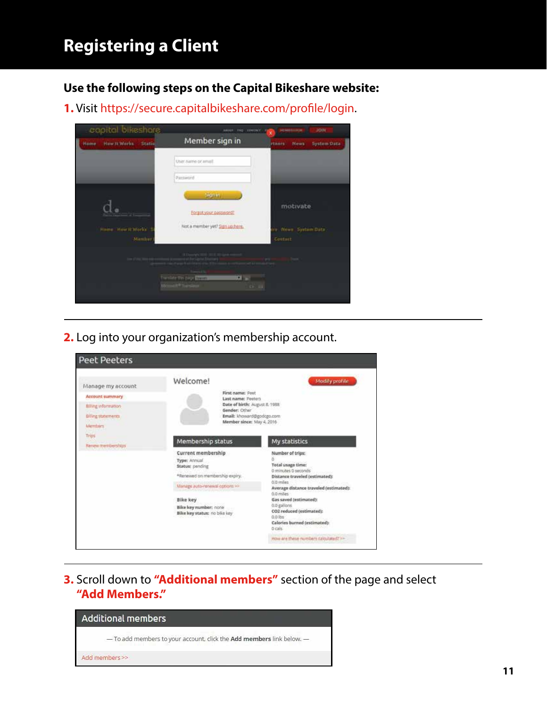## **Registering a Client**

**Use the following steps on the Capital Bikeshare website:** 

**1.** Visit https://secure.capitalbikeshare.com/profile/login.



**2.** Log into your organization's membership account.

| Manage my account<br>Account summary<br>filling information<br>Billing statements.<br>Members:<br>Trios<br>Renew reemberships | Welcome!                                                          | Modify profile<br>First name: Post<br>Last name: Peeters<br>Date of birth: August 8, 1988<br>Gender: Other<br>Email: khoward@godcgo.com<br>Member since: May 4, 2016 |  |
|-------------------------------------------------------------------------------------------------------------------------------|-------------------------------------------------------------------|----------------------------------------------------------------------------------------------------------------------------------------------------------------------|--|
|                                                                                                                               | Membership status                                                 | My statistics                                                                                                                                                        |  |
|                                                                                                                               | Current membership<br>Type: Annual<br><b>Status:</b> pending      | Number of trips:<br>ō<br><b>Total usage time:</b><br>0 minutes 0 seconds                                                                                             |  |
|                                                                                                                               | *Renewed on membership expiry.                                    | Distance traveled (estimated):                                                                                                                                       |  |
|                                                                                                                               | Manage auto-renewal options >>                                    | 0.0 miles<br>Average distance traveled (estimated):                                                                                                                  |  |
|                                                                                                                               | Bike key<br>Bike key number: none<br>Bike key status: no bike key | 0.0 miles<br>Gas saved (estimated):<br>0.0 gallons<br>CO2 reduced (estimated):<br>0.0 lbs<br>Calories burned (estimated):<br>0 cals                                  |  |
|                                                                                                                               |                                                                   | How are these numbers calculated? >>                                                                                                                                 |  |

**3.** Scroll down to **"Additional members"** section of the page and select **"Add Members."**

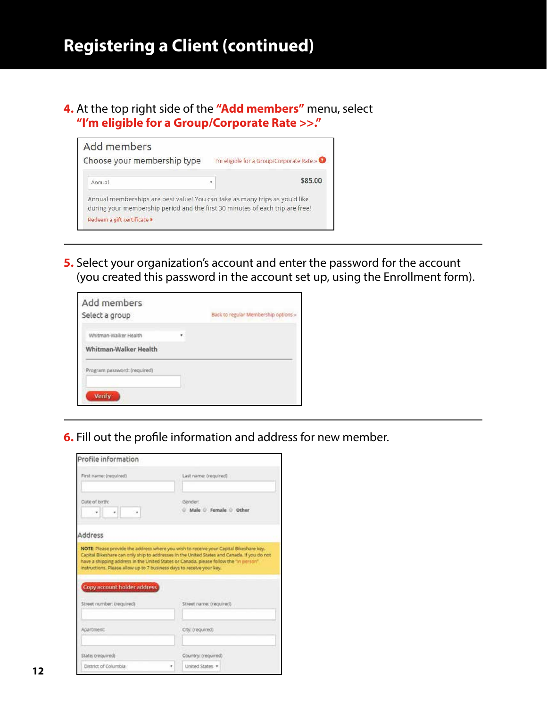## **Registering a Client (continued)**

**4.** At the top right side of the **"Add members"** menu, select **"I'm eligible for a Group/Corporate Rate >>."**

| Add members                                                                                                                                                  |                                           |
|--------------------------------------------------------------------------------------------------------------------------------------------------------------|-------------------------------------------|
| Choose your membership type                                                                                                                                  | I'm eligible for a Group/Corporate Rate » |
| Annual                                                                                                                                                       | \$85.00                                   |
|                                                                                                                                                              |                                           |
| Annual memberships are best value! You can take as many trips as you'd like<br>during your membership period and the first 30 minutes of each trip are free! |                                           |

**5.** Select your organization's account and enter the password for the account (you created this password in the account set up, using the Enrollment form).

| Add members<br>Select a group | Back to regular Membership options » |
|-------------------------------|--------------------------------------|
| Whitman-Walker Health         |                                      |
| Whitman-Walker Health         |                                      |
| Program password: (required)  |                                      |
| <b>Verify</b>                 |                                      |

**6.** Fill out the profile information and address for new member.

| Profile information                                                                                                                                                                   |                                   |
|---------------------------------------------------------------------------------------------------------------------------------------------------------------------------------------|-----------------------------------|
| First name: (required)                                                                                                                                                                | Last name: (required)             |
| Oate of birth:<br>٠                                                                                                                                                                   | (Sender)<br>Male C Female C Other |
| Address                                                                                                                                                                               |                                   |
| Capital Blkeshare can only ship to addresses in the United States and Canada. If you do not<br>have a shipping address in the United States or Canada, please follow the "in person". |                                   |
| instructions. Please allow up to 7 business days to receive your key.<br>Copy account holder address                                                                                  |                                   |
| Street number: (required)                                                                                                                                                             | Street name: (required)           |
| Apartment:                                                                                                                                                                            | City: (required)                  |
| State: (required)                                                                                                                                                                     | Country: (required)               |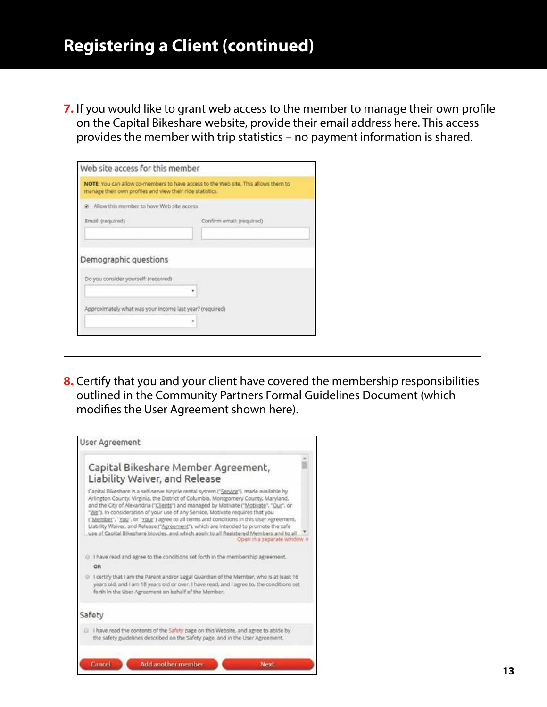**7.** If you would like to grant web access to the member to manage their own profile on the Capital Bikeshare website, provide their email address here. This access provides the member with trip statistics – no payment information is shared.

| manage their own profiles and view their ride statistics.     | NOTE: You can allow co-members to have access to the Web site. This allows them to |
|---------------------------------------------------------------|------------------------------------------------------------------------------------|
| Allow this member to have Web site access                     |                                                                                    |
| Email: (required)                                             | Confirm email: (required)                                                          |
|                                                               |                                                                                    |
|                                                               |                                                                                    |
| Demographic questions<br>Do you consider yourself: (required) |                                                                                    |
| Approximately what was your income last year? (required)      |                                                                                    |

**8.** Certify that you and your client have covered the membership responsibilities outlined in the Community Partners Formal Guidelines Document (which modifies the User Agreement shown here).

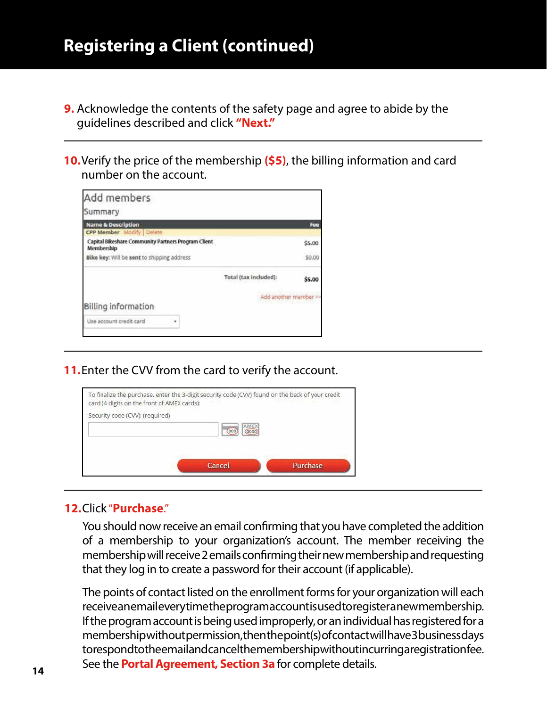- **9.** Acknowledge the contents of the safety page and agree to abide by the guidelines described and click **"Next."**
- **10.**Verify the price of the membership **(\$5)**, the billing information and card number on the account.

| Add members<br>Summary                                            |                       |        |
|-------------------------------------------------------------------|-----------------------|--------|
| <b>Name &amp; Description</b>                                     |                       | Fee    |
| CPP Member Modify   Delate                                        |                       |        |
| Capital Bikeshare Community Partners Program Client<br>Membership |                       | \$5.00 |
| Bike key: Will be sent to shipping address                        |                       | \$0.00 |
|                                                                   | Total (tax included): | \$5.00 |
| Billing information                                               | Add another member >  |        |
| Use account credit card<br>٠                                      |                       |        |
|                                                                   |                       |        |

**11.**Enter the CVV from the card to verify the account.



#### **12.**Click "**Purchase**."

You should now receive an email confirming that you have completed the addition of a membership to your organization's account. The member receiving the membership will receive 2 emails confirming their new membership and requesting that they log in to create a password for their account (if applicable).

The points of contact listed on the enrollment forms for your organization will each receive an email every time the program account is used to register a new membership. If the program account is being used improperly, or an individual has registered for a membership without permission, then the point(s) of contact will have 3 business days to respond to the email and cancel the membership without incurring a registration fee. See the **Portal Agreement, Section 3a** for complete details.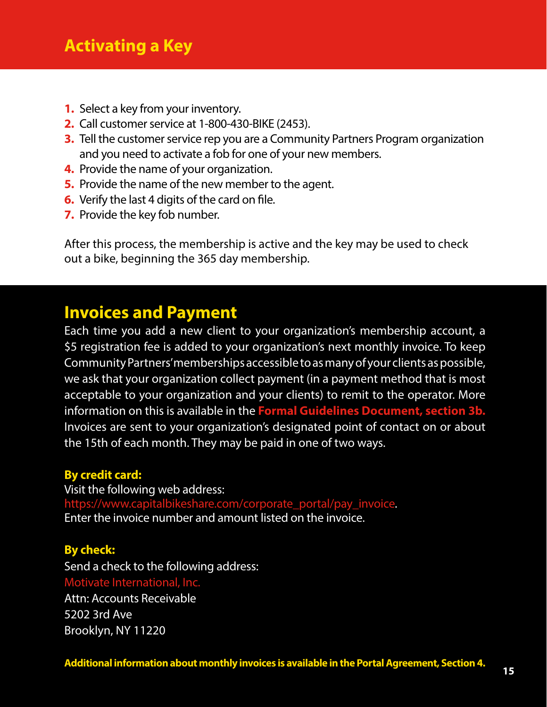- **1.** Select a key from your inventory.
- **2.** Call customer service at 1-800-430-BIKE (2453).
- **3.** Tell the customer service rep you are a Community Partners Program organization and you need to activate a fob for one of your new members.
- **4.** Provide the name of your organization.
- **5.** Provide the name of the new member to the agent.
- **6.** Verify the last 4 digits of the card on file.
- **7.** Provide the key fob number.

After this process, the membership is active and the key may be used to check out a bike, beginning the 365 day membership.

## **Invoices and Payment**

Each time you add a new client to your organization's membership account, a \$5 registration fee is added to your organization's next monthly invoice. To keep Community Partners' memberships accessible to as many of your clients as possible, we ask that your organization collect payment (in a payment method that is most acceptable to your organization and your clients) to remit to the operator. More information on this is available in the **Formal Guidelines Document, section 3b.** Invoices are sent to your organization's designated point of contact on or about the 15th of each month. They may be paid in one of two ways.

#### **By credit card:**

Visit the following web address: https://www.capitalbikeshare.com/corporate\_portal/pay\_invoice. Enter the invoice number and amount listed on the invoice.

#### **By check:**

Send a check to the following address: Motivate International, Inc. Attn: Accounts Receivable 5202 3rd Ave Brooklyn, NY 11220